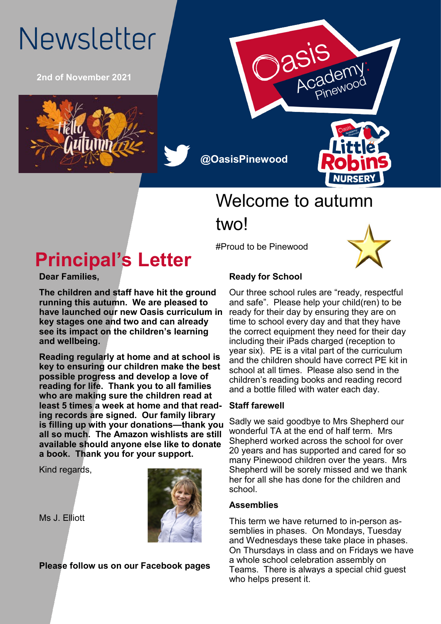# Newsletter

**2nd of November 2021**



**@OasisPinewood**



## Welcome to autumn two!

#Proud to be Pinewood



## **Principal's Letter**

**Dear Families,**

**The children and staff have hit the ground running this autumn. We are pleased to have launched our new Oasis curriculum in key stages one and two and can already see its impact on the children's learning and wellbeing.**

**Reading regularly at home and at school is key to ensuring our children make the best possible progress and develop a love of reading for life. Thank you to all families who are making sure the children read at least 5 times a week at home and that reading records are signed. Our family library is filling up with your donations—thank you all so much. The Amazon wishlists are still available should anyone else like to donate a book. Thank you for your support.**

Kind regards,



Ms J. Elliott

**Please follow us on our Facebook pages**

#### **Ready for School**

Our three school rules are "ready, respectful and safe". Please help your child(ren) to be ready for their day by ensuring they are on time to school every day and that they have the correct equipment they need for their day including their iPads charged (reception to year six). PE is a vital part of the curriculum and the children should have correct PE kit in school at all times. Please also send in the children's reading books and reading record and a bottle filled with water each day.

#### **Staff farewell**

Sadly we said goodbye to Mrs Shepherd our wonderful TA at the end of half term. Mrs Shepherd worked across the school for over 20 years and has supported and cared for so many Pinewood children over the years. Mrs Shepherd will be sorely missed and we thank her for all she has done for the children and school.

#### **Assemblies**

This term we have returned to in-person assemblies in phases. On Mondays, Tuesday and Wednesdays these take place in phases. On Thursdays in class and on Fridays we have a whole school celebration assembly on Teams. There is always a special chid guest who helps present it.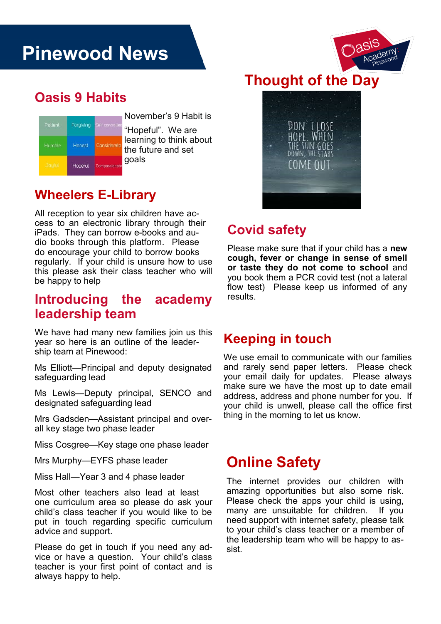## **Pinewood News**

#### **Oasis 9 Habits**

| Patient       | Forgiving | Self-controlled |
|---------------|-----------|-----------------|
| Humble        | Honest    | Considerate     |
| <b>Jaurul</b> | Hopeful   | Compassionate   |

November's 9 Habit is

"Hopeful". We are learning to think about the future and set goals

#### **Wheelers E-Library**

All reception to year six children have access to an electronic library through their iPads. They can borrow e-books and audio books through this platform. Please do encourage your child to borrow books regularly. If your child is unsure how to use this please ask their class teacher who will be happy to help

#### **Introducing the academy leadership team**

We have had many new families join us this year so here is an outline of the leadership team at Pinewood:

Ms Elliott—Principal and deputy designated safeguarding lead

Ms Lewis—Deputy principal, SENCO and designated safeguarding lead

Mrs Gadsden—Assistant principal and overall key stage two phase leader

Miss Cosgree—Key stage one phase leader

Mrs Murphy—EYFS phase leader

Miss Hall—Year 3 and 4 phase leader

Most other teachers also lead at least one curriculum area so please do ask your child's class teacher if you would like to be put in touch regarding specific curriculum advice and support.

Please do get in touch if you need any advice or have a question. Your child's class teacher is your first point of contact and is always happy to help.





#### **Covid safety**

Please make sure that if your child has a **new cough, fever or change in sense of smell or taste they do not come to school** and you book them a PCR covid test (not a lateral flow test) Please keep us informed of any results.

#### **Keeping in touch**

We use email to communicate with our families and rarely send paper letters. Please check your email daily for updates. Please always make sure we have the most up to date email address, address and phone number for you. If your child is unwell, please call the office first thing in the morning to let us know.

### **Online Safety**

The internet provides our children with amazing opportunities but also some risk. Please check the apps your child is using, many are unsuitable for children. If you need support with internet safety, please talk to your child's class teacher or a member of the leadership team who will be happy to assist.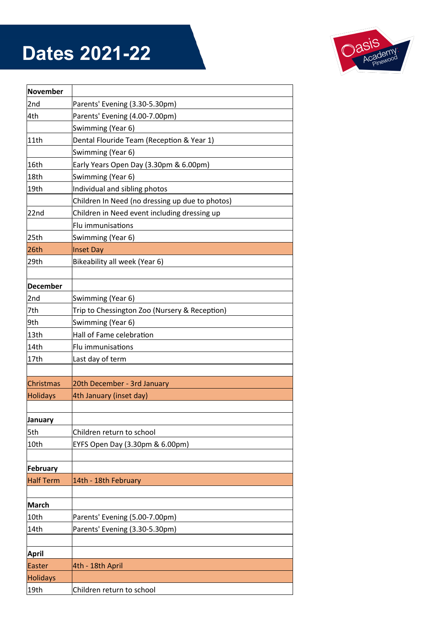## **Dates 2021-22**



| <b>November</b>  |                                                 |  |
|------------------|-------------------------------------------------|--|
| 2nd              | Parents' Evening (3.30-5.30pm)                  |  |
| 4th              | Parents' Evening (4.00-7.00pm)                  |  |
|                  | Swimming (Year 6)                               |  |
| 11th             | Dental Flouride Team (Reception & Year 1)       |  |
|                  | Swimming (Year 6)                               |  |
| 16th             | Early Years Open Day (3.30pm & 6.00pm)          |  |
| 18th             | Swimming (Year 6)                               |  |
| 19th             | Individual and sibling photos                   |  |
|                  | Children In Need (no dressing up due to photos) |  |
| 22nd             | Children in Need event including dressing up    |  |
|                  | Flu immunisations                               |  |
| 25th             | Swimming (Year 6)                               |  |
| 26th             | <b>Inset Day</b>                                |  |
| 29th             | Bikeability all week (Year 6)                   |  |
|                  |                                                 |  |
| <b>December</b>  |                                                 |  |
| 2nd              | Swimming (Year 6)                               |  |
| 7th              | Trip to Chessington Zoo (Nursery & Reception)   |  |
| 9th              | Swimming (Year 6)                               |  |
| 13th             | Hall of Fame celebration                        |  |
| 14th             | Flu immunisations                               |  |
| 17th             | Last day of term                                |  |
|                  |                                                 |  |
| Christmas        | 20th December - 3rd January                     |  |
| <b>Holidays</b>  | 4th January (inset day)                         |  |
|                  |                                                 |  |
| January          |                                                 |  |
| 5th              | Children return to school                       |  |
| 10th             | EYFS Open Day (3.30pm & 6.00pm)                 |  |
|                  |                                                 |  |
| <b>February</b>  |                                                 |  |
| <b>Half Term</b> | 14th - 18th February                            |  |
|                  |                                                 |  |
| <b>March</b>     |                                                 |  |
| 10th             | Parents' Evening (5.00-7.00pm)                  |  |
| 14th             | Parents' Evening (3.30-5.30pm)                  |  |
|                  |                                                 |  |
| <b>April</b>     |                                                 |  |
| Easter           | 4th - 18th April                                |  |
| <b>Holidays</b>  |                                                 |  |
| 19th             | Children return to school                       |  |